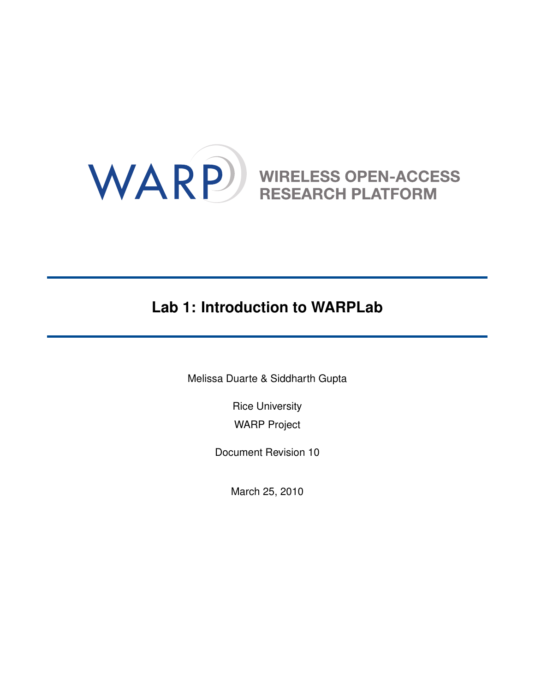

# **Lab 1: Introduction to WARPLab**

Melissa Duarte & Siddharth Gupta

Rice University WARP Project

Document Revision 10

March 25, 2010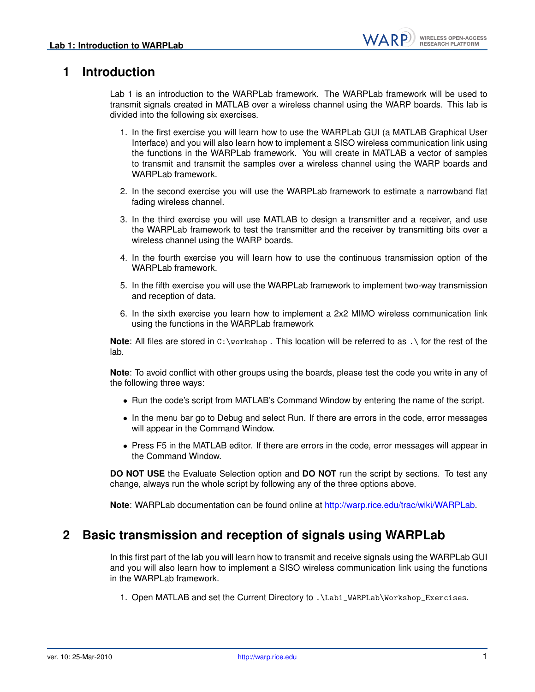## **1 Introduction**

Lab 1 is an introduction to the WARPLab framework. The WARPLab framework will be used to transmit signals created in MATLAB over a wireless channel using the WARP boards. This lab is divided into the following six exercises.

- 1. In the first exercise you will learn how to use the WARPLab GUI (a MATLAB Graphical User Interface) and you will also learn how to implement a SISO wireless communication link using the functions in the WARPLab framework. You will create in MATLAB a vector of samples to transmit and transmit the samples over a wireless channel using the WARP boards and WARPLab framework.
- 2. In the second exercise you will use the WARPLab framework to estimate a narrowband flat fading wireless channel.
- 3. In the third exercise you will use MATLAB to design a transmitter and a receiver, and use the WARPLab framework to test the transmitter and the receiver by transmitting bits over a wireless channel using the WARP boards.
- 4. In the fourth exercise you will learn how to use the continuous transmission option of the WARPLab framework.
- 5. In the fifth exercise you will use the WARPLab framework to implement two-way transmission and reception of data.
- 6. In the sixth exercise you learn how to implement a 2x2 MIMO wireless communication link using the functions in the WARPLab framework

**Note**: All files are stored in C:\workshop . This location will be referred to as .\ for the rest of the lab.

**Note**: To avoid conflict with other groups using the boards, please test the code you write in any of the following three ways:

- Run the code's script from MATLAB's Command Window by entering the name of the script.
- In the menu bar go to Debug and select Run. If there are errors in the code, error messages will appear in the Command Window.
- Press F5 in the MATLAB editor. If there are errors in the code, error messages will appear in the Command Window.

**DO NOT USE** the Evaluate Selection option and **DO NOT** run the script by sections. To test any change, always run the whole script by following any of the three options above.

**Note**: WARPLab documentation can be found online at [http://warp.rice.edu/trac/wiki/WARPLab.](http://warp.rice.edu/trac/wiki/WARPLab)

#### **2 Basic transmission and reception of signals using WARPLab**

In this first part of the lab you will learn how to transmit and receive signals using the WARPLab GUI and you will also learn how to implement a SISO wireless communication link using the functions in the WARPLab framework.

1. Open MATLAB and set the Current Directory to .\Lab1\_WARPLab\Workshop\_Exercises.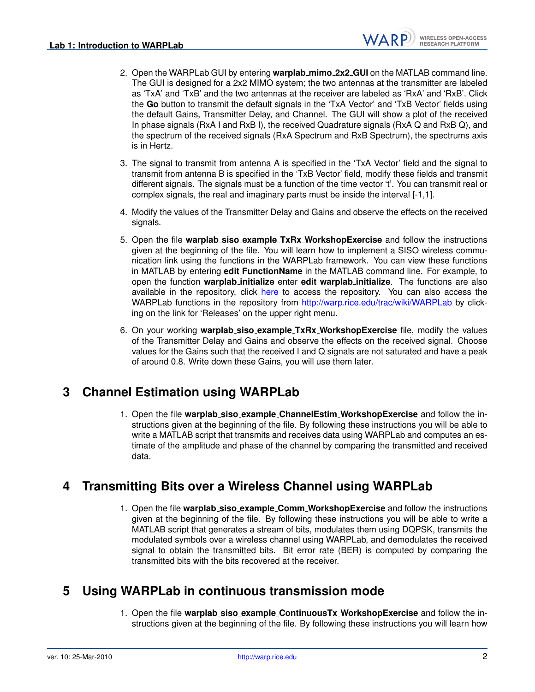WARP

- 2. Open the WARPLab GUI by entering **warplab mimo 2x2 GUI** on the MATLAB command line. The GUI is designed for a 2x2 MIMO system; the two antennas at the transmitter are labeled as 'TxA' and 'TxB' and the two antennas at the receiver are labeled as 'RxA' and 'RxB'. Click the **Go** button to transmit the default signals in the 'TxA Vector' and 'TxB Vector' fields using the default Gains, Transmitter Delay, and Channel. The GUI will show a plot of the received In phase signals (RxA I and RxB I), the received Quadrature signals (RxA Q and RxB Q), and the spectrum of the received signals (RxA Spectrum and RxB Spectrum), the spectrums axis is in Hertz.
- 3. The signal to transmit from antenna A is specified in the 'TxA Vector' field and the signal to transmit from antenna B is specified in the 'TxB Vector' field, modify these fields and transmit different signals. The signals must be a function of the time vector 't'. You can transmit real or complex signals, the real and imaginary parts must be inside the interval [-1,1].
- 4. Modify the values of the Transmitter Delay and Gains and observe the effects on the received signals.
- 5. Open the file **warplab siso example TxRx WorkshopExercise** and follow the instructions given at the beginning of the file. You will learn how to implement a SISO wireless communication link using the functions in the WARPLab framework. You can view these functions in MATLAB by entering **edit FunctionName** in the MATLAB command line. For example, to open the function **warplab initialize** enter **edit warplab initialize**. The functions are also available in the repository, click [here](http://warp.rice.edu/trac/browser/ResearchApps/PHY/WARPLAB/WARPLab_v05_2/M_Code_Reference) to access the repository. You can also access the WARPLab functions in the repository from <http://warp.rice.edu/trac/wiki/WARPLab> by clicking on the link for 'Releases' on the upper right menu.
- 6. On your working **warplab siso example TxRx WorkshopExercise** file, modify the values of the Transmitter Delay and Gains and observe the effects on the received signal. Choose values for the Gains such that the received I and Q signals are not saturated and have a peak of around 0.8. Write down these Gains, you will use them later.

#### **3 Channel Estimation using WARPLab**

1. Open the file **warplab siso example ChannelEstim WorkshopExercise** and follow the instructions given at the beginning of the file. By following these instructions you will be able to write a MATLAB script that transmits and receives data using WARPLab and computes an estimate of the amplitude and phase of the channel by comparing the transmitted and received data.

## **4 Transmitting Bits over a Wireless Channel using WARPLab**

1. Open the file **warplab siso example Comm WorkshopExercise** and follow the instructions given at the beginning of the file. By following these instructions you will be able to write a MATLAB script that generates a stream of bits, modulates them using DQPSK, transmits the modulated symbols over a wireless channel using WARPLab, and demodulates the received signal to obtain the transmitted bits. Bit error rate (BER) is computed by comparing the transmitted bits with the bits recovered at the receiver.

#### **5 Using WARPLab in continuous transmission mode**

1. Open the file **warplab siso example ContinuousTx WorkshopExercise** and follow the instructions given at the beginning of the file. By following these instructions you will learn how